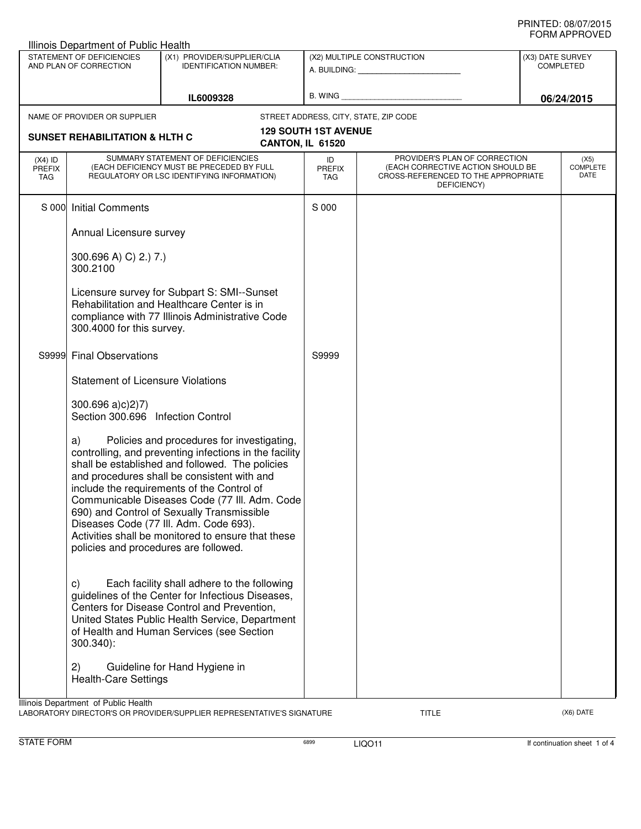| Illinois Department of Public Health                                                                                                |                                                                                                                                                                                                                                                                               |                                                                                                                                                                                                                                                                                                                                                                                                                                                     |                                   |                                                                                                                          |                                      |                                 |  |
|-------------------------------------------------------------------------------------------------------------------------------------|-------------------------------------------------------------------------------------------------------------------------------------------------------------------------------------------------------------------------------------------------------------------------------|-----------------------------------------------------------------------------------------------------------------------------------------------------------------------------------------------------------------------------------------------------------------------------------------------------------------------------------------------------------------------------------------------------------------------------------------------------|-----------------------------------|--------------------------------------------------------------------------------------------------------------------------|--------------------------------------|---------------------------------|--|
| STATEMENT OF DEFICIENCIES<br>AND PLAN OF CORRECTION                                                                                 |                                                                                                                                                                                                                                                                               | (X1) PROVIDER/SUPPLIER/CLIA<br><b>IDENTIFICATION NUMBER:</b>                                                                                                                                                                                                                                                                                                                                                                                        | (X2) MULTIPLE CONSTRUCTION        |                                                                                                                          | (X3) DATE SURVEY<br><b>COMPLETED</b> |                                 |  |
| IL6009328                                                                                                                           |                                                                                                                                                                                                                                                                               | B. WING                                                                                                                                                                                                                                                                                                                                                                                                                                             |                                   | 06/24/2015                                                                                                               |                                      |                                 |  |
|                                                                                                                                     | NAME OF PROVIDER OR SUPPLIER                                                                                                                                                                                                                                                  |                                                                                                                                                                                                                                                                                                                                                                                                                                                     |                                   | STREET ADDRESS, CITY, STATE, ZIP CODE                                                                                    |                                      |                                 |  |
|                                                                                                                                     | <b>129 SOUTH 1ST AVENUE</b><br><b>SUNSET REHABILITATION &amp; HLTH C</b><br>CANTON, IL 61520                                                                                                                                                                                  |                                                                                                                                                                                                                                                                                                                                                                                                                                                     |                                   |                                                                                                                          |                                      |                                 |  |
| $(X4)$ ID<br><b>PREFIX</b><br>TAG                                                                                                   | SUMMARY STATEMENT OF DEFICIENCIES<br>(EACH DEFICIENCY MUST BE PRECEDED BY FULL<br>REGULATORY OR LSC IDENTIFYING INFORMATION)                                                                                                                                                  |                                                                                                                                                                                                                                                                                                                                                                                                                                                     | ID<br><b>PREFIX</b><br><b>TAG</b> | PROVIDER'S PLAN OF CORRECTION<br>(EACH CORRECTIVE ACTION SHOULD BE<br>CROSS-REFERENCED TO THE APPROPRIATE<br>DEFICIENCY) |                                      | (X5)<br><b>COMPLETE</b><br>DATE |  |
|                                                                                                                                     | <b>Initial Comments</b><br>S 000<br>Annual Licensure survey<br>300.696 A) C) 2.) 7.)<br>300.2100<br>Licensure survey for Subpart S: SMI--Sunset<br>Rehabilitation and Healthcare Center is in<br>compliance with 77 Illinois Administrative Code<br>300.4000 for this survey. |                                                                                                                                                                                                                                                                                                                                                                                                                                                     | S 000                             |                                                                                                                          |                                      |                                 |  |
|                                                                                                                                     |                                                                                                                                                                                                                                                                               |                                                                                                                                                                                                                                                                                                                                                                                                                                                     |                                   |                                                                                                                          |                                      |                                 |  |
|                                                                                                                                     |                                                                                                                                                                                                                                                                               |                                                                                                                                                                                                                                                                                                                                                                                                                                                     |                                   |                                                                                                                          |                                      |                                 |  |
|                                                                                                                                     |                                                                                                                                                                                                                                                                               |                                                                                                                                                                                                                                                                                                                                                                                                                                                     |                                   |                                                                                                                          |                                      |                                 |  |
| S9999 l                                                                                                                             | <b>Final Observations</b><br><b>Statement of Licensure Violations</b><br>300.696 a)c(27)<br>Section 300.696 Infection Control                                                                                                                                                 |                                                                                                                                                                                                                                                                                                                                                                                                                                                     | S9999                             |                                                                                                                          |                                      |                                 |  |
|                                                                                                                                     |                                                                                                                                                                                                                                                                               |                                                                                                                                                                                                                                                                                                                                                                                                                                                     |                                   |                                                                                                                          |                                      |                                 |  |
|                                                                                                                                     |                                                                                                                                                                                                                                                                               |                                                                                                                                                                                                                                                                                                                                                                                                                                                     |                                   |                                                                                                                          |                                      |                                 |  |
|                                                                                                                                     | a)<br>policies and procedures are followed.                                                                                                                                                                                                                                   | Policies and procedures for investigating,<br>controlling, and preventing infections in the facility<br>shall be established and followed. The policies<br>and procedures shall be consistent with and<br>include the requirements of the Control of<br>Communicable Diseases Code (77 III. Adm. Code<br>690) and Control of Sexually Transmissible<br>Diseases Code (77 III. Adm. Code 693).<br>Activities shall be monitored to ensure that these |                                   |                                                                                                                          |                                      |                                 |  |
|                                                                                                                                     | C)<br>$300.340$ :                                                                                                                                                                                                                                                             | Each facility shall adhere to the following<br>guidelines of the Center for Infectious Diseases,<br>Centers for Disease Control and Prevention,<br>United States Public Health Service, Department<br>of Health and Human Services (see Section                                                                                                                                                                                                     |                                   |                                                                                                                          |                                      |                                 |  |
|                                                                                                                                     | 2)<br><b>Health-Care Settings</b>                                                                                                                                                                                                                                             | Guideline for Hand Hygiene in                                                                                                                                                                                                                                                                                                                                                                                                                       |                                   |                                                                                                                          |                                      |                                 |  |
| Illinois Department of Public Health<br>LABORATORY DIRECTOR'S OR PROVIDER/SUPPLIER REPRESENTATIVE'S SIGNATURE<br>TITLE<br>(X6) DATE |                                                                                                                                                                                                                                                                               |                                                                                                                                                                                                                                                                                                                                                                                                                                                     |                                   |                                                                                                                          |                                      |                                 |  |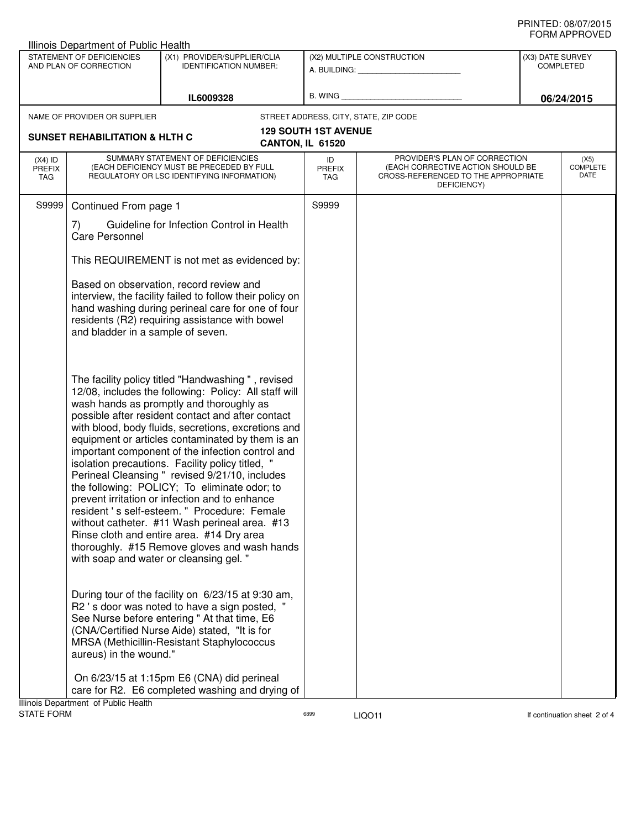|                                                     | Illinois Department of Public Health                              |                                                                                                                                                                                                                                                                                                                                                                                                                                                                                                                                                                                                                                                                                                                                                                                                                              |                                                                                                                                                         |                                                                                                                          |                                                    |                                        |
|-----------------------------------------------------|-------------------------------------------------------------------|------------------------------------------------------------------------------------------------------------------------------------------------------------------------------------------------------------------------------------------------------------------------------------------------------------------------------------------------------------------------------------------------------------------------------------------------------------------------------------------------------------------------------------------------------------------------------------------------------------------------------------------------------------------------------------------------------------------------------------------------------------------------------------------------------------------------------|---------------------------------------------------------------------------------------------------------------------------------------------------------|--------------------------------------------------------------------------------------------------------------------------|----------------------------------------------------|----------------------------------------|
| STATEMENT OF DEFICIENCIES<br>AND PLAN OF CORRECTION |                                                                   | (X1) PROVIDER/SUPPLIER/CLIA<br><b>IDENTIFICATION NUMBER:</b>                                                                                                                                                                                                                                                                                                                                                                                                                                                                                                                                                                                                                                                                                                                                                                 | (X2) MULTIPLE CONSTRUCTION<br>A. BUILDING: A SALE AND THE SALE AND THE SALE AND THE SALE AND THE SALE AND THE SALE AND THE SALE AND THE SALE<br>B. WING |                                                                                                                          | (X3) DATE SURVEY<br><b>COMPLETED</b><br>06/24/2015 |                                        |
|                                                     |                                                                   | IL6009328                                                                                                                                                                                                                                                                                                                                                                                                                                                                                                                                                                                                                                                                                                                                                                                                                    |                                                                                                                                                         |                                                                                                                          |                                                    |                                        |
|                                                     | NAME OF PROVIDER OR SUPPLIER                                      |                                                                                                                                                                                                                                                                                                                                                                                                                                                                                                                                                                                                                                                                                                                                                                                                                              |                                                                                                                                                         | STREET ADDRESS, CITY, STATE, ZIP CODE                                                                                    |                                                    |                                        |
|                                                     | <b>SUNSET REHABILITATION &amp; HLTH C</b>                         |                                                                                                                                                                                                                                                                                                                                                                                                                                                                                                                                                                                                                                                                                                                                                                                                                              | <b>129 SOUTH 1ST AVENUE</b>                                                                                                                             |                                                                                                                          |                                                    |                                        |
|                                                     |                                                                   |                                                                                                                                                                                                                                                                                                                                                                                                                                                                                                                                                                                                                                                                                                                                                                                                                              | CANTON, IL 61520                                                                                                                                        |                                                                                                                          |                                                    |                                        |
| $(X4)$ ID<br><b>PREFIX</b><br>TAG                   |                                                                   | SUMMARY STATEMENT OF DEFICIENCIES<br>(EACH DEFICIENCY MUST BE PRECEDED BY FULL<br>REGULATORY OR LSC IDENTIFYING INFORMATION)                                                                                                                                                                                                                                                                                                                                                                                                                                                                                                                                                                                                                                                                                                 | ID<br><b>PREFIX</b><br><b>TAG</b>                                                                                                                       | PROVIDER'S PLAN OF CORRECTION<br>(EACH CORRECTIVE ACTION SHOULD BE<br>CROSS-REFERENCED TO THE APPROPRIATE<br>DEFICIENCY) |                                                    | (X5)<br><b>COMPLETE</b><br><b>DATE</b> |
| S9999                                               | Continued From page 1                                             |                                                                                                                                                                                                                                                                                                                                                                                                                                                                                                                                                                                                                                                                                                                                                                                                                              | S9999                                                                                                                                                   |                                                                                                                          |                                                    |                                        |
|                                                     | Guideline for Infection Control in Health<br>7)<br>Care Personnel |                                                                                                                                                                                                                                                                                                                                                                                                                                                                                                                                                                                                                                                                                                                                                                                                                              |                                                                                                                                                         |                                                                                                                          |                                                    |                                        |
|                                                     | This REQUIREMENT is not met as evidenced by:                      |                                                                                                                                                                                                                                                                                                                                                                                                                                                                                                                                                                                                                                                                                                                                                                                                                              |                                                                                                                                                         |                                                                                                                          |                                                    |                                        |
|                                                     | and bladder in a sample of seven.                                 | Based on observation, record review and<br>interview, the facility failed to follow their policy on<br>hand washing during perineal care for one of four<br>residents (R2) requiring assistance with bowel                                                                                                                                                                                                                                                                                                                                                                                                                                                                                                                                                                                                                   |                                                                                                                                                         |                                                                                                                          |                                                    |                                        |
|                                                     |                                                                   | The facility policy titled "Handwashing ", revised<br>12/08, includes the following: Policy: All staff will<br>wash hands as promptly and thoroughly as<br>possible after resident contact and after contact<br>with blood, body fluids, secretions, excretions and<br>equipment or articles contaminated by them is an<br>important component of the infection control and<br>isolation precautions. Facility policy titled, "<br>Perineal Cleansing " revised 9/21/10, includes<br>the following: POLICY; To eliminate odor; to<br>prevent irritation or infection and to enhance<br>resident 's self-esteem. " Procedure: Female<br>without catheter. #11 Wash perineal area. #13<br>Rinse cloth and entire area. #14 Dry area<br>thoroughly. #15 Remove gloves and wash hands<br>with soap and water or cleansing gel. " |                                                                                                                                                         |                                                                                                                          |                                                    |                                        |
|                                                     | aureus) in the wound."                                            | During tour of the facility on 6/23/15 at 9:30 am,<br>R2 's door was noted to have a sign posted, '<br>See Nurse before entering " At that time, E6<br>(CNA/Certified Nurse Aide) stated, "It is for<br>MRSA (Methicillin-Resistant Staphylococcus                                                                                                                                                                                                                                                                                                                                                                                                                                                                                                                                                                           |                                                                                                                                                         |                                                                                                                          |                                                    |                                        |
|                                                     | Illinois Department of Public Health                              | On 6/23/15 at 1:15pm E6 (CNA) did perineal<br>care for R2. E6 completed washing and drying of                                                                                                                                                                                                                                                                                                                                                                                                                                                                                                                                                                                                                                                                                                                                |                                                                                                                                                         |                                                                                                                          |                                                    |                                        |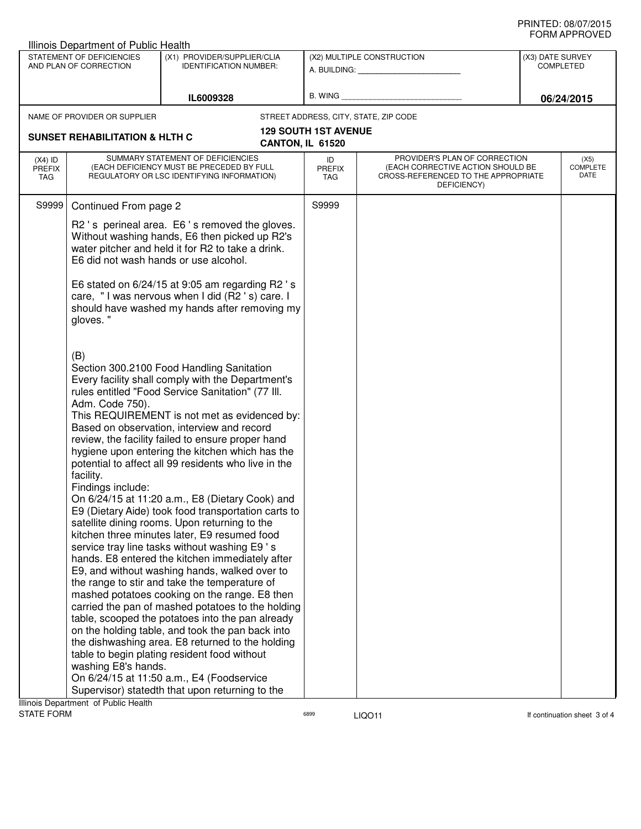| STATEMENT OF DEFICIENCIES<br>(X1) PROVIDER/SUPPLIER/CLIA<br>(X2) MULTIPLE CONSTRUCTION<br>AND PLAN OF CORRECTION<br><b>IDENTIFICATION NUMBER:</b><br><b>COMPLETED</b><br>A. BUILDING: A. BUILDING:<br>B. WING<br>IL6009328<br>NAME OF PROVIDER OR SUPPLIER<br>STREET ADDRESS, CITY, STATE, ZIP CODE<br><b>129 SOUTH 1ST AVENUE</b><br><b>SUNSET REHABILITATION &amp; HLTH C</b><br>CANTON, IL 61520<br>SUMMARY STATEMENT OF DEFICIENCIES<br>PROVIDER'S PLAN OF CORRECTION<br>$(X4)$ ID<br>ID<br>(EACH DEFICIENCY MUST BE PRECEDED BY FULL<br>(EACH CORRECTIVE ACTION SHOULD BE<br><b>PREFIX</b><br><b>PREFIX</b><br>REGULATORY OR LSC IDENTIFYING INFORMATION)<br>CROSS-REFERENCED TO THE APPROPRIATE<br>TAG<br>TAG<br>DEFICIENCY)<br>S9999<br>S9999<br>Continued From page 2<br>R2's perineal area. E6's removed the gloves.<br>Without washing hands, E6 then picked up R2's                                                                                                                                                                                                                                                                                                                                                                                                                                                         |                                 |  |
|----------------------------------------------------------------------------------------------------------------------------------------------------------------------------------------------------------------------------------------------------------------------------------------------------------------------------------------------------------------------------------------------------------------------------------------------------------------------------------------------------------------------------------------------------------------------------------------------------------------------------------------------------------------------------------------------------------------------------------------------------------------------------------------------------------------------------------------------------------------------------------------------------------------------------------------------------------------------------------------------------------------------------------------------------------------------------------------------------------------------------------------------------------------------------------------------------------------------------------------------------------------------------------------------------------------------------------------|---------------------------------|--|
|                                                                                                                                                                                                                                                                                                                                                                                                                                                                                                                                                                                                                                                                                                                                                                                                                                                                                                                                                                                                                                                                                                                                                                                                                                                                                                                                        | (X3) DATE SURVEY                |  |
|                                                                                                                                                                                                                                                                                                                                                                                                                                                                                                                                                                                                                                                                                                                                                                                                                                                                                                                                                                                                                                                                                                                                                                                                                                                                                                                                        | 06/24/2015                      |  |
|                                                                                                                                                                                                                                                                                                                                                                                                                                                                                                                                                                                                                                                                                                                                                                                                                                                                                                                                                                                                                                                                                                                                                                                                                                                                                                                                        |                                 |  |
|                                                                                                                                                                                                                                                                                                                                                                                                                                                                                                                                                                                                                                                                                                                                                                                                                                                                                                                                                                                                                                                                                                                                                                                                                                                                                                                                        |                                 |  |
|                                                                                                                                                                                                                                                                                                                                                                                                                                                                                                                                                                                                                                                                                                                                                                                                                                                                                                                                                                                                                                                                                                                                                                                                                                                                                                                                        | (X5)<br><b>COMPLETE</b><br>DATE |  |
|                                                                                                                                                                                                                                                                                                                                                                                                                                                                                                                                                                                                                                                                                                                                                                                                                                                                                                                                                                                                                                                                                                                                                                                                                                                                                                                                        |                                 |  |
| water pitcher and held it for R2 to take a drink.<br>E6 did not wash hands or use alcohol.                                                                                                                                                                                                                                                                                                                                                                                                                                                                                                                                                                                                                                                                                                                                                                                                                                                                                                                                                                                                                                                                                                                                                                                                                                             |                                 |  |
| E6 stated on 6/24/15 at 9:05 am regarding R2 's<br>care, "I was nervous when I did (R2 's) care. I<br>should have washed my hands after removing my<br>gloves."                                                                                                                                                                                                                                                                                                                                                                                                                                                                                                                                                                                                                                                                                                                                                                                                                                                                                                                                                                                                                                                                                                                                                                        |                                 |  |
| (B)<br>Section 300.2100 Food Handling Sanitation<br>Every facility shall comply with the Department's<br>rules entitled "Food Service Sanitation" (77 III.<br>Adm. Code 750).<br>This REQUIREMENT is not met as evidenced by:<br>Based on observation, interview and record<br>review, the facility failed to ensure proper hand<br>hygiene upon entering the kitchen which has the<br>potential to affect all 99 residents who live in the<br>facility.<br>Findings include:<br>On 6/24/15 at 11:20 a.m., E8 (Dietary Cook) and<br>E9 (Dietary Aide) took food transportation carts to<br>satellite dining rooms. Upon returning to the<br>kitchen three minutes later, E9 resumed food<br>service tray line tasks without washing E9's<br>hands. E8 entered the kitchen immediately after<br>E9, and without washing hands, walked over to<br>the range to stir and take the temperature of<br>mashed potatoes cooking on the range. E8 then<br>carried the pan of mashed potatoes to the holding<br>table, scooped the potatoes into the pan already<br>on the holding table, and took the pan back into<br>the dishwashing area. E8 returned to the holding<br>table to begin plating resident food without<br>washing E8's hands.<br>On 6/24/15 at 11:50 a.m., E4 (Foodservice<br>Supervisor) statedth that upon returning to the |                                 |  |
| Illinois Department of Public Health                                                                                                                                                                                                                                                                                                                                                                                                                                                                                                                                                                                                                                                                                                                                                                                                                                                                                                                                                                                                                                                                                                                                                                                                                                                                                                   |                                 |  |

STATE FORM **EXAMPLE 19 ACCOUNT CONTROL** 6899 **LIQO11 LIGO11 If continuation sheet 3 of 4**